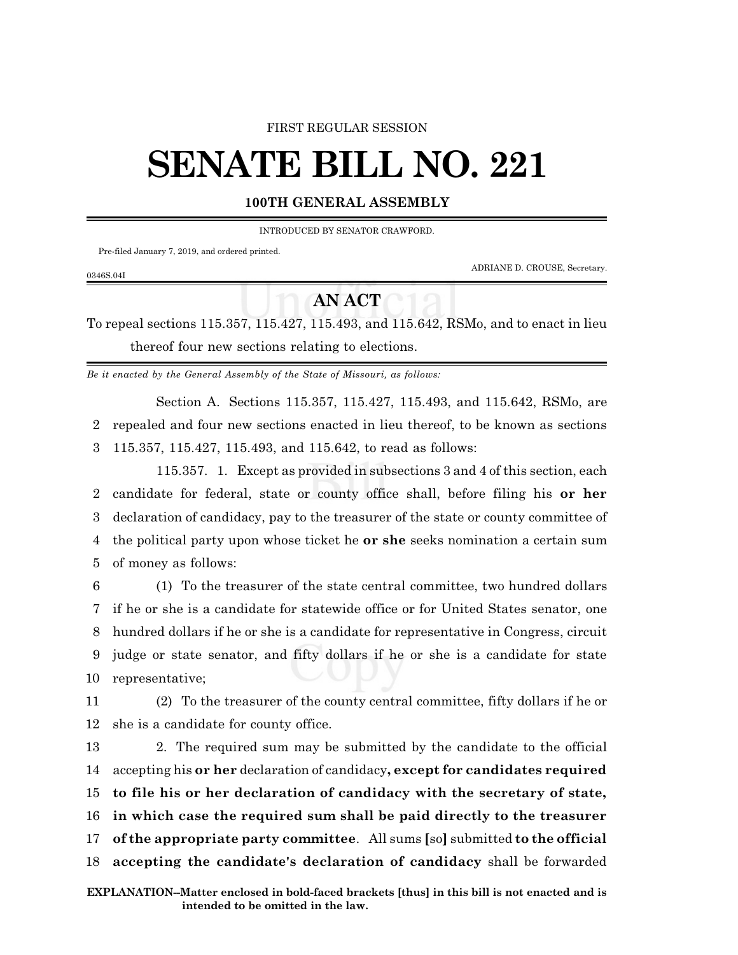## FIRST REGULAR SESSION

## **SENATE BILL NO. 221**

## **100TH GENERAL ASSEMBLY**

INTRODUCED BY SENATOR CRAWFORD.

Pre-filed January 7, 2019, and ordered printed.

0346S.04I

ADRIANE D. CROUSE, Secretary.

## **AN ACT**

To repeal sections 115.357, 115.427, 115.493, and 115.642, RSMo, and to enact in lieu thereof four new sections relating to elections.

*Be it enacted by the General Assembly of the State of Missouri, as follows:*

Section A. Sections 115.357, 115.427, 115.493, and 115.642, RSMo, are 2 repealed and four new sections enacted in lieu thereof, to be known as sections 3 115.357, 115.427, 115.493, and 115.642, to read as follows:

115.357. 1. Except as provided in subsections 3 and 4 of this section, each candidate for federal, state or county office shall, before filing his **or her** declaration of candidacy, pay to the treasurer of the state or county committee of the political party upon whose ticket he **or she** seeks nomination a certain sum of money as follows:

 (1) To the treasurer of the state central committee, two hundred dollars if he or she is a candidate for statewide office or for United States senator, one hundred dollars if he or she is a candidate for representative in Congress, circuit judge or state senator, and fifty dollars if he or she is a candidate for state representative;

11 (2) To the treasurer of the county central committee, fifty dollars if he or 12 she is a candidate for county office.

 2. The required sum may be submitted by the candidate to the official accepting his **or her** declaration of candidacy**, except for candidates required to file his or her declaration of candidacy with the secretary of state, in which case the required sum shall be paid directly to the treasurer of the appropriate party committee**. All sums **[**so**]** submitted **to the official accepting the candidate's declaration of candidacy** shall be forwarded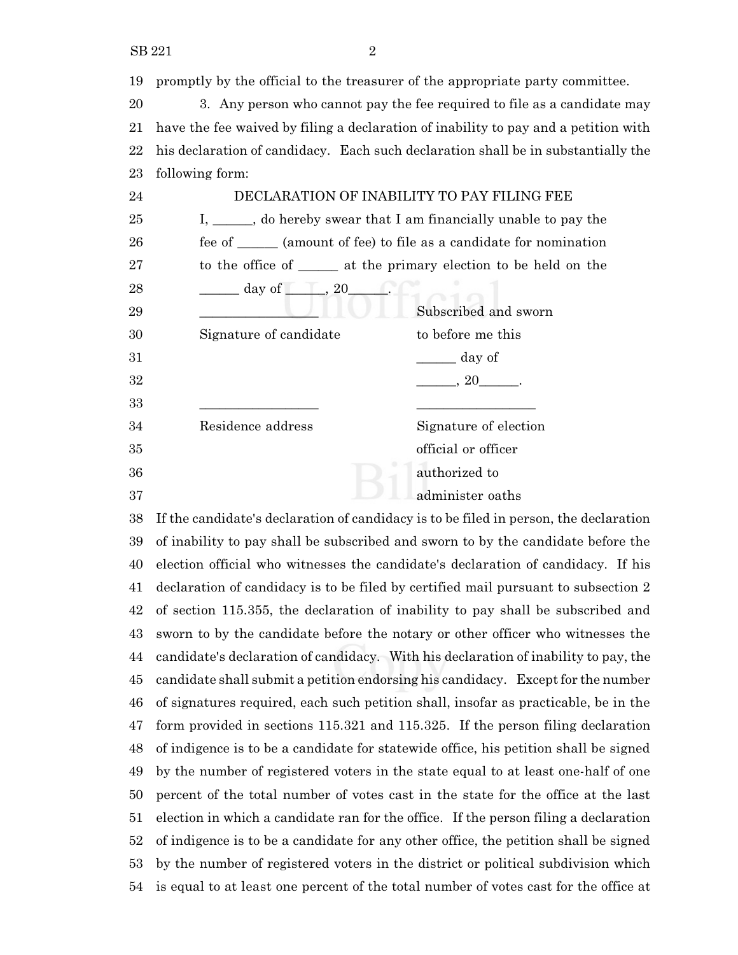promptly by the official to the treasurer of the appropriate party committee. 3. Any person who cannot pay the fee required to file as a candidate may have the fee waived by filing a declaration of inability to pay and a petition with his declaration of candidacy. Each such declaration shall be in substantially the following form: DECLARATION OF INABILITY TO PAY FILING FEE I, \_\_\_\_\_\_, do hereby swear that I am financially unable to pay the 26 fee of \_\_\_\_\_\_ (amount of fee) to file as a candidate for nomination to the office of \_\_\_\_\_\_ at the primary election to be held on the 28 \_\_\_\_\_\_\_\_\_\_ day of \_\_\_\_\_\_\_\_, 20\_ 29 Subscribed and sworn 30 Signature of candidate to before me this  $\qquad \qquad \qquad$  day of  $32 \qquad \qquad 32 \qquad \qquad .$  \_\_\_\_\_\_\_\_\_\_\_\_\_\_\_\_\_\_ \_\_\_\_\_\_\_\_\_\_\_\_\_\_\_\_\_\_ Residence address Signature of election official or officer authorized to

administer oaths

 If the candidate's declaration of candidacy is to be filed in person, the declaration of inability to pay shall be subscribed and sworn to by the candidate before the election official who witnesses the candidate's declaration of candidacy. If his declaration of candidacy is to be filed by certified mail pursuant to subsection 2 of section 115.355, the declaration of inability to pay shall be subscribed and sworn to by the candidate before the notary or other officer who witnesses the candidate's declaration of candidacy. With his declaration of inability to pay, the candidate shall submit a petition endorsing his candidacy. Except for the number of signatures required, each such petition shall, insofar as practicable, be in the form provided in sections 115.321 and 115.325. If the person filing declaration of indigence is to be a candidate for statewide office, his petition shall be signed by the number of registered voters in the state equal to at least one-half of one percent of the total number of votes cast in the state for the office at the last election in which a candidate ran for the office. If the person filing a declaration of indigence is to be a candidate for any other office, the petition shall be signed by the number of registered voters in the district or political subdivision which is equal to at least one percent of the total number of votes cast for the office at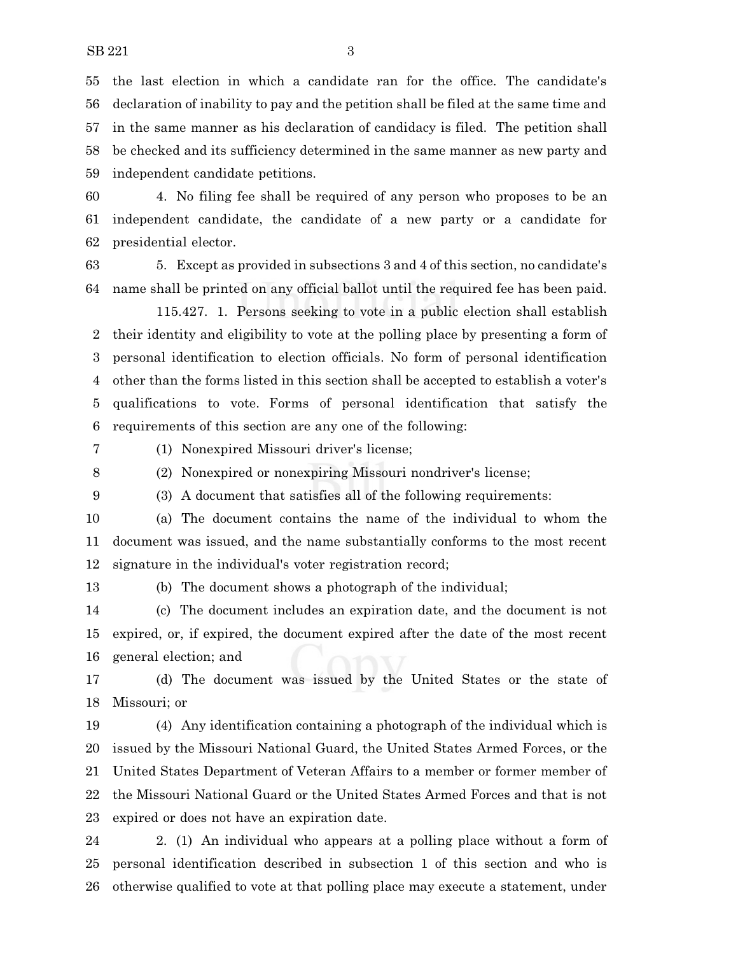the last election in which a candidate ran for the office. The candidate's declaration of inability to pay and the petition shall be filed at the same time and in the same manner as his declaration of candidacy is filed. The petition shall be checked and its sufficiency determined in the same manner as new party and independent candidate petitions.

 4. No filing fee shall be required of any person who proposes to be an independent candidate, the candidate of a new party or a candidate for presidential elector.

 5. Except as provided in subsections 3 and 4 of this section, no candidate's name shall be printed on any official ballot until the required fee has been paid.

115.427. 1. Persons seeking to vote in a public election shall establish their identity and eligibility to vote at the polling place by presenting a form of personal identification to election officials. No form of personal identification other than the forms listed in this section shall be accepted to establish a voter's qualifications to vote. Forms of personal identification that satisfy the requirements of this section are any one of the following:

(1) Nonexpired Missouri driver's license;

(2) Nonexpired or nonexpiring Missouri nondriver's license;

(3) A document that satisfies all of the following requirements:

 (a) The document contains the name of the individual to whom the document was issued, and the name substantially conforms to the most recent signature in the individual's voter registration record;

(b) The document shows a photograph of the individual;

 (c) The document includes an expiration date, and the document is not expired, or, if expired, the document expired after the date of the most recent general election; and

 (d) The document was issued by the United States or the state of Missouri; or

 (4) Any identification containing a photograph of the individual which is issued by the Missouri National Guard, the United States Armed Forces, or the United States Department of Veteran Affairs to a member or former member of the Missouri National Guard or the United States Armed Forces and that is not expired or does not have an expiration date.

 2. (1) An individual who appears at a polling place without a form of personal identification described in subsection 1 of this section and who is otherwise qualified to vote at that polling place may execute a statement, under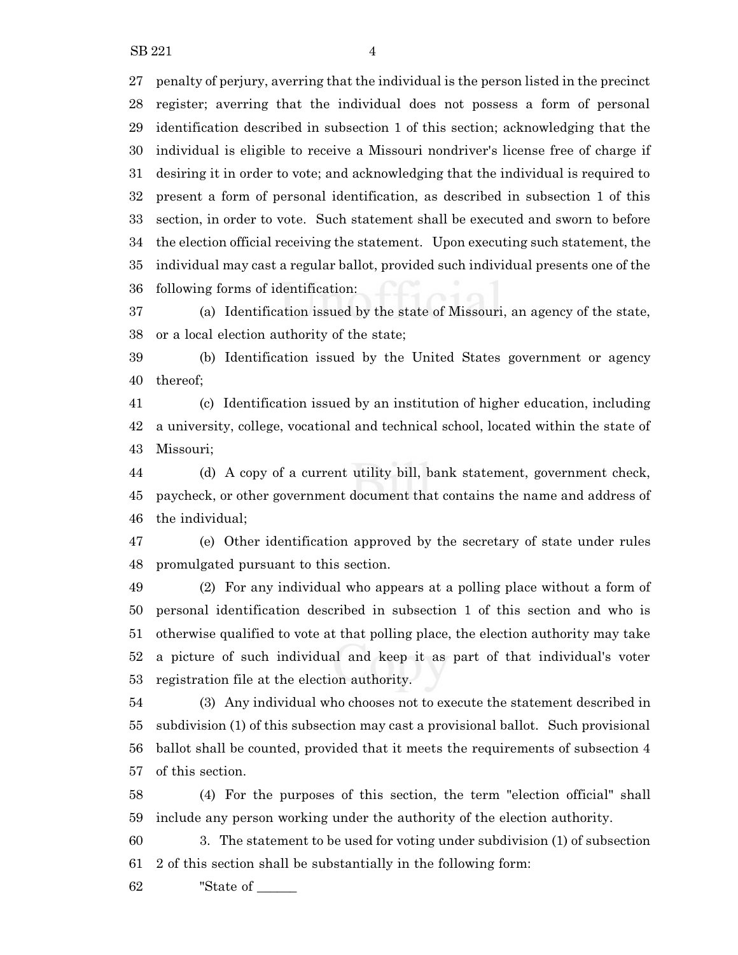$SB 221$  4

 penalty of perjury, averring that the individual is the person listed in the precinct register; averring that the individual does not possess a form of personal identification described in subsection 1 of this section; acknowledging that the individual is eligible to receive a Missouri nondriver's license free of charge if desiring it in order to vote; and acknowledging that the individual is required to present a form of personal identification, as described in subsection 1 of this section, in order to vote. Such statement shall be executed and sworn to before the election official receiving the statement. Upon executing such statement, the individual may cast a regular ballot, provided such individual presents one of the following forms of identification:

 (a) Identification issued by the state of Missouri, an agency of the state, or a local election authority of the state;

 (b) Identification issued by the United States government or agency thereof;

 (c) Identification issued by an institution of higher education, including a university, college, vocational and technical school, located within the state of Missouri;

 (d) A copy of a current utility bill, bank statement, government check, paycheck, or other government document that contains the name and address of the individual;

 (e) Other identification approved by the secretary of state under rules promulgated pursuant to this section.

 (2) For any individual who appears at a polling place without a form of personal identification described in subsection 1 of this section and who is otherwise qualified to vote at that polling place, the election authority may take a picture of such individual and keep it as part of that individual's voter registration file at the election authority.

 (3) Any individual who chooses not to execute the statement described in subdivision (1) of this subsection may cast a provisional ballot. Such provisional ballot shall be counted, provided that it meets the requirements of subsection 4 of this section.

 (4) For the purposes of this section, the term "election official" shall include any person working under the authority of the election authority.

 3. The statement to be used for voting under subdivision (1) of subsection 2 of this section shall be substantially in the following form:

"State of \_\_\_\_\_\_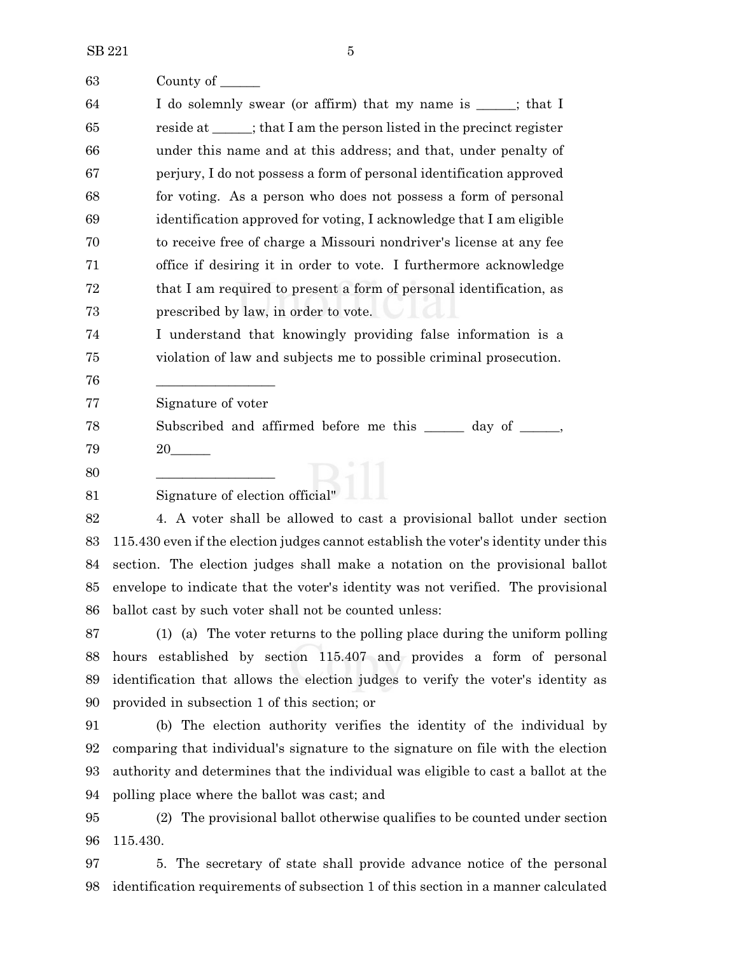| 63 | County of $\_\_$                                                                     |
|----|--------------------------------------------------------------------------------------|
| 64 | I do solemnly swear (or affirm) that my name is _____; that I                        |
| 65 | reside at _____; that I am the person listed in the precinct register                |
| 66 | under this name and at this address; and that, under penalty of                      |
| 67 | perjury, I do not possess a form of personal identification approved                 |
| 68 | for voting. As a person who does not possess a form of personal                      |
| 69 | identification approved for voting, I acknowledge that I am eligible                 |
| 70 | to receive free of charge a Missouri nondriver's license at any fee                  |
| 71 | office if desiring it in order to vote. I furthermore acknowledge                    |
| 72 | that I am required to present a form of personal identification, as                  |
| 73 | prescribed by law, in order to vote.                                                 |
| 74 | I understand that knowingly providing false information is a                         |
| 75 | violation of law and subjects me to possible criminal prosecution.                   |
| 76 |                                                                                      |
| 77 | Signature of voter                                                                   |
| 78 | Subscribed and affirmed before me this ______ day of _____,                          |
| 79 |                                                                                      |
| 80 |                                                                                      |
| 81 | Signature of election official"                                                      |
| 82 | 4. A voter shall be allowed to cast a provisional ballot under section               |
| 83 | 115.430 even if the election judges cannot establish the voter's identity under this |
| 84 | section. The election judges shall make a notation on the provisional ballot         |
| 85 | envelope to indicate that the voter's identity was not verified. The provisional     |
| 86 | ballot cast by such voter shall not be counted unless:                               |
| 87 | (1) (a) The voter returns to the polling place during the uniform polling            |
| 88 | hours established by section 115.407 and provides a form of personal                 |
| 89 | identification that allows the election judges to verify the voter's identity as     |
| 90 | provided in subsection 1 of this section; or                                         |
| 91 | (b) The election authority verifies the identity of the individual by                |
| 92 | comparing that individual's signature to the signature on file with the election     |
| 93 | authority and determines that the individual was eligible to cast a ballot at the    |
| 94 | polling place where the ballot was cast; and                                         |
| 95 | (2) The provisional ballot otherwise qualifies to be counted under section           |
| 96 | 115.430.                                                                             |

 5. The secretary of state shall provide advance notice of the personal identification requirements of subsection 1 of this section in a manner calculated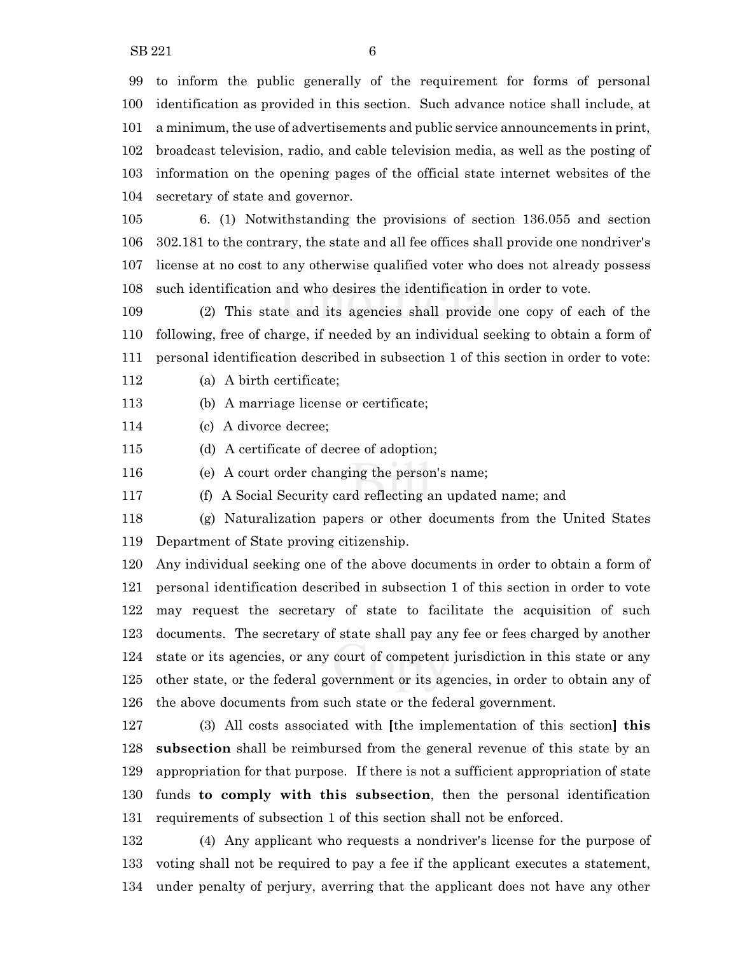to inform the public generally of the requirement for forms of personal identification as provided in this section. Such advance notice shall include, at

a minimum, the use of advertisements and public service announcements in print,

 broadcast television, radio, and cable television media, as well as the posting of information on the opening pages of the official state internet websites of the secretary of state and governor.

 6. (1) Notwithstanding the provisions of section 136.055 and section 302.181 to the contrary, the state and all fee offices shall provide one nondriver's license at no cost to any otherwise qualified voter who does not already possess such identification and who desires the identification in order to vote.

 (2) This state and its agencies shall provide one copy of each of the following, free of charge, if needed by an individual seeking to obtain a form of personal identification described in subsection 1 of this section in order to vote:

(a) A birth certificate;

(b) A marriage license or certificate;

(c) A divorce decree;

(d) A certificate of decree of adoption;

(e) A court order changing the person's name;

(f) A Social Security card reflecting an updated name; and

 (g) Naturalization papers or other documents from the United States Department of State proving citizenship.

 Any individual seeking one of the above documents in order to obtain a form of personal identification described in subsection 1 of this section in order to vote may request the secretary of state to facilitate the acquisition of such documents. The secretary of state shall pay any fee or fees charged by another state or its agencies, or any court of competent jurisdiction in this state or any other state, or the federal government or its agencies, in order to obtain any of the above documents from such state or the federal government.

 (3) All costs associated with **[**the implementation of this section**] this subsection** shall be reimbursed from the general revenue of this state by an appropriation for that purpose. If there is not a sufficient appropriation of state funds **to comply with this subsection**, then the personal identification requirements of subsection 1 of this section shall not be enforced.

 (4) Any applicant who requests a nondriver's license for the purpose of voting shall not be required to pay a fee if the applicant executes a statement, under penalty of perjury, averring that the applicant does not have any other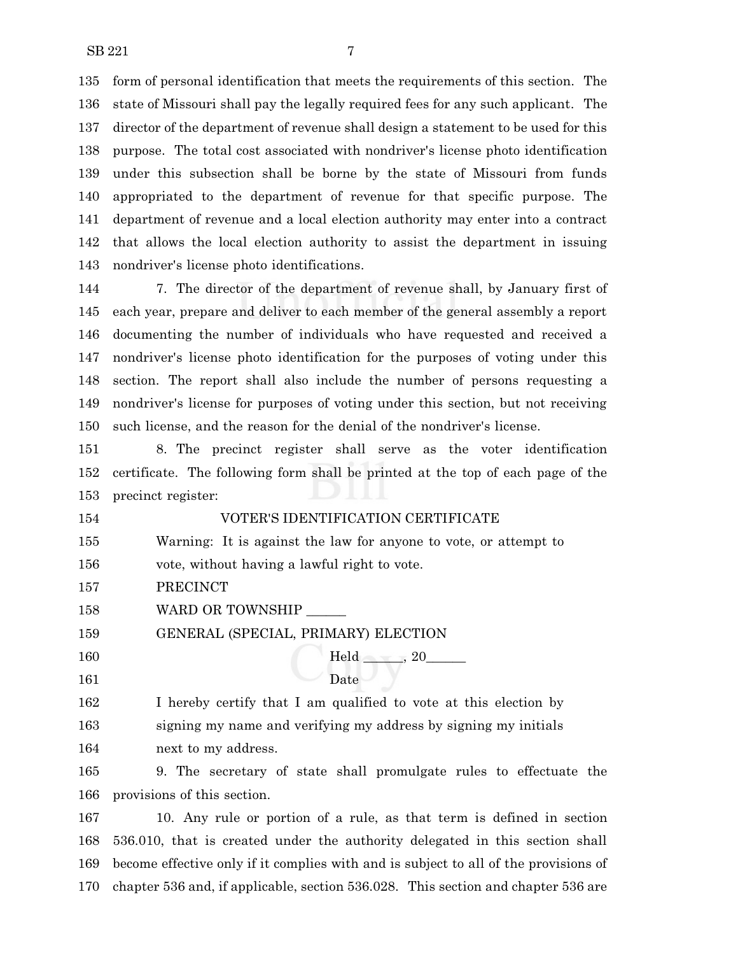form of personal identification that meets the requirements of this section. The state of Missouri shall pay the legally required fees for any such applicant. The director of the department of revenue shall design a statement to be used for this purpose. The total cost associated with nondriver's license photo identification under this subsection shall be borne by the state of Missouri from funds appropriated to the department of revenue for that specific purpose. The department of revenue and a local election authority may enter into a contract that allows the local election authority to assist the department in issuing nondriver's license photo identifications.

 7. The director of the department of revenue shall, by January first of each year, prepare and deliver to each member of the general assembly a report documenting the number of individuals who have requested and received a nondriver's license photo identification for the purposes of voting under this section. The report shall also include the number of persons requesting a nondriver's license for purposes of voting under this section, but not receiving such license, and the reason for the denial of the nondriver's license.

 8. The precinct register shall serve as the voter identification certificate. The following form shall be printed at the top of each page of the precinct register:

 VOTER'S IDENTIFICATION CERTIFICATE Warning: It is against the law for anyone to vote, or attempt to vote, without having a lawful right to vote.

- PRECINCT
- 158 WARD OR TOWNSHIP

GENERAL (SPECIAL, PRIMARY) ELECTION

160 Held  $\frac{160}{\frac{1}{20}}$ 161 Date

 I hereby certify that I am qualified to vote at this election by signing my name and verifying my address by signing my initials next to my address.

 9. The secretary of state shall promulgate rules to effectuate the provisions of this section.

 10. Any rule or portion of a rule, as that term is defined in section 536.010, that is created under the authority delegated in this section shall become effective only if it complies with and is subject to all of the provisions of chapter 536 and, if applicable, section 536.028. This section and chapter 536 are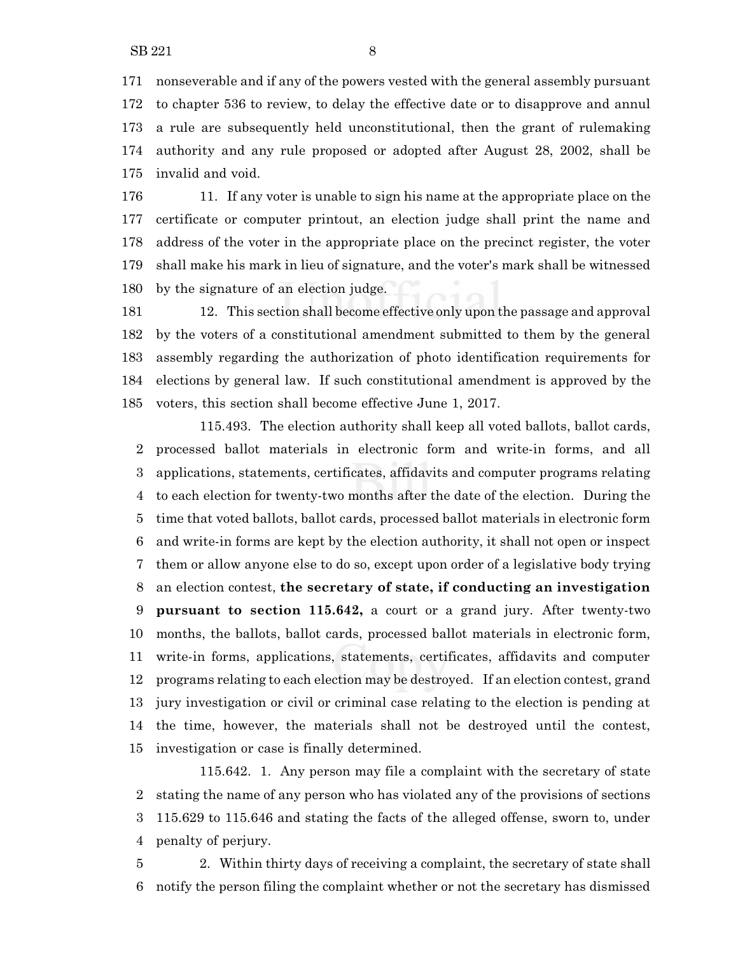nonseverable and if any of the powers vested with the general assembly pursuant to chapter 536 to review, to delay the effective date or to disapprove and annul a rule are subsequently held unconstitutional, then the grant of rulemaking authority and any rule proposed or adopted after August 28, 2002, shall be invalid and void.

 11. If any voter is unable to sign his name at the appropriate place on the certificate or computer printout, an election judge shall print the name and address of the voter in the appropriate place on the precinct register, the voter shall make his mark in lieu of signature, and the voter's mark shall be witnessed by the signature of an election judge.

 12. This section shall become effective only upon the passage and approval by the voters of a constitutional amendment submitted to them by the general assembly regarding the authorization of photo identification requirements for elections by general law. If such constitutional amendment is approved by the voters, this section shall become effective June 1, 2017.

115.493. The election authority shall keep all voted ballots, ballot cards, processed ballot materials in electronic form and write-in forms, and all applications, statements, certificates, affidavits and computer programs relating to each election for twenty-two months after the date of the election. During the time that voted ballots, ballot cards, processed ballot materials in electronic form and write-in forms are kept by the election authority, it shall not open or inspect them or allow anyone else to do so, except upon order of a legislative body trying an election contest, **the secretary of state, if conducting an investigation pursuant to section 115.642,** a court or a grand jury. After twenty-two months, the ballots, ballot cards, processed ballot materials in electronic form, write-in forms, applications, statements, certificates, affidavits and computer programs relating to each election may be destroyed. If an election contest, grand jury investigation or civil or criminal case relating to the election is pending at the time, however, the materials shall not be destroyed until the contest, investigation or case is finally determined.

115.642. 1. Any person may file a complaint with the secretary of state stating the name of any person who has violated any of the provisions of sections 115.629 to 115.646 and stating the facts of the alleged offense, sworn to, under penalty of perjury.

 2. Within thirty days of receiving a complaint, the secretary of state shall notify the person filing the complaint whether or not the secretary has dismissed